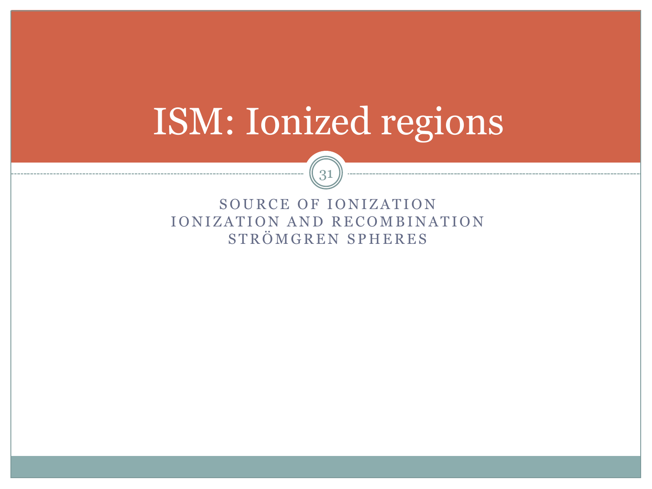## ISM: Ionized regions

SOURCE OF IONIZATION IONIZATION AND RECOMBINATION STRÖMGREN SPHERES

31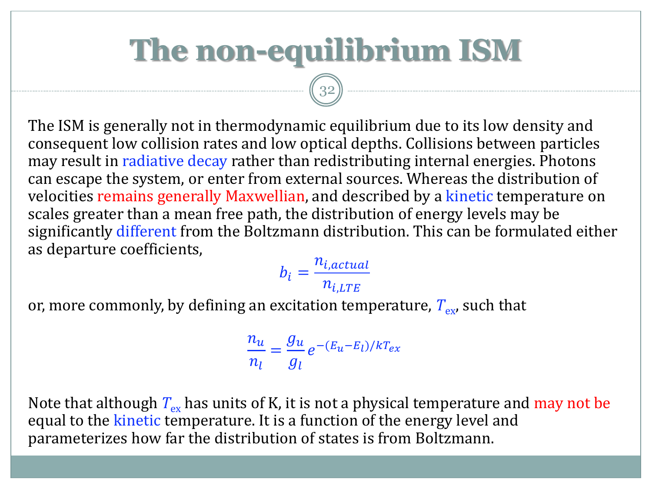## **The non-equilibrium ISM**

The ISM is generally not in thermodynamic equilibrium due to its low density and consequent low collision rates and low optical depths. Collisions between particles may result in radiative decay rather than redistributing internal energies. Photons can escape the system, or enter from external sources. Whereas the distribution of velocities remains generally Maxwellian, and described by a kinetic temperature on scales greater than a mean free path, the distribution of energy levels may be significantly different from the Boltzmann distribution. This can be formulated either as departure coefficients,

 $b_i =$  $n_{i,actual}$  $n_{i,LTE}$ 

or, more commonly, by defining an excitation temperature,  $T_{ex}$ , such that

32

$$
\frac{n_u}{n_l} = \frac{g_u}{g_l} e^{-(E_u - E_l)/kT_{ex}}
$$

Note that although  $T_{ex}$  has units of K, it is not a physical temperature and may not be equal to the kinetic temperature. It is a function of the energy level and parameterizes how far the distribution of states is from Boltzmann.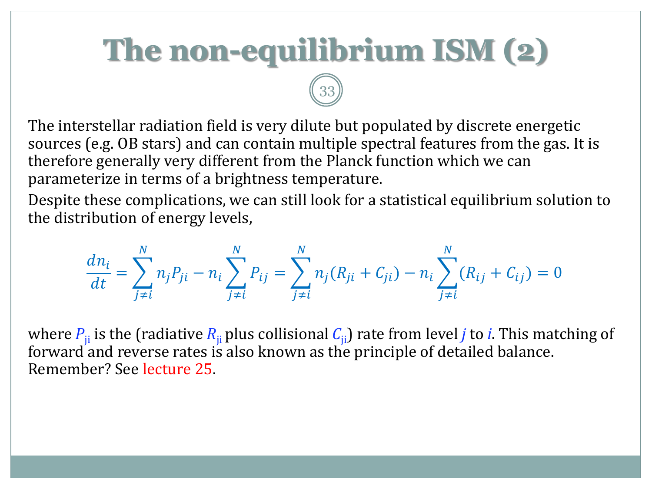## **The non-equilibrium ISM (2)**

 $(33)$ 

The interstellar radiation field is very dilute but populated by discrete energetic sources (e.g. OB stars) and can contain multiple spectral features from the gas. It is therefore generally very different from the Planck function which we can parameterize in terms of a brightness temperature.

Despite these complications, we can still look for a statistical equilibrium solution to the distribution of energy levels,

$$
\frac{dn_i}{dt} = \sum_{j \neq i}^{N} n_j P_{ji} - n_i \sum_{j \neq i}^{N} P_{ij} = \sum_{j \neq i}^{N} n_j (R_{ji} + C_{ji}) - n_i \sum_{j \neq i}^{N} (R_{ij} + C_{ij}) = 0
$$

where  $P_{ii}$  is the (radiative  $R_{ii}$  plus collisional  $C_{ii}$ ) rate from level *j* to *i*. This matching of forward and reverse rates is also known as the principle of detailed balance. Remember? See lecture 25.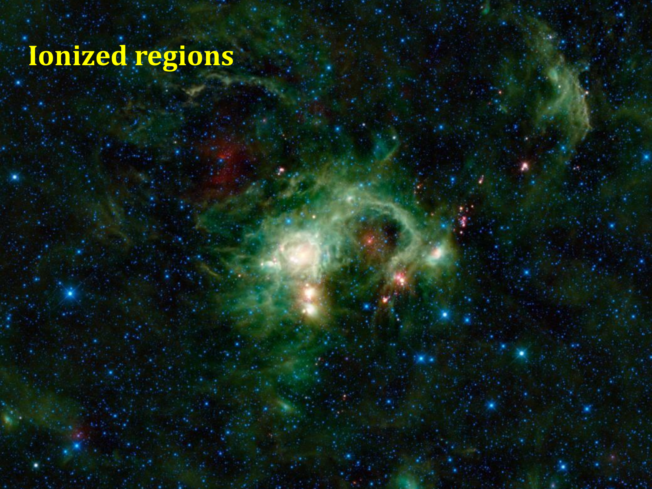## **Ionized regions**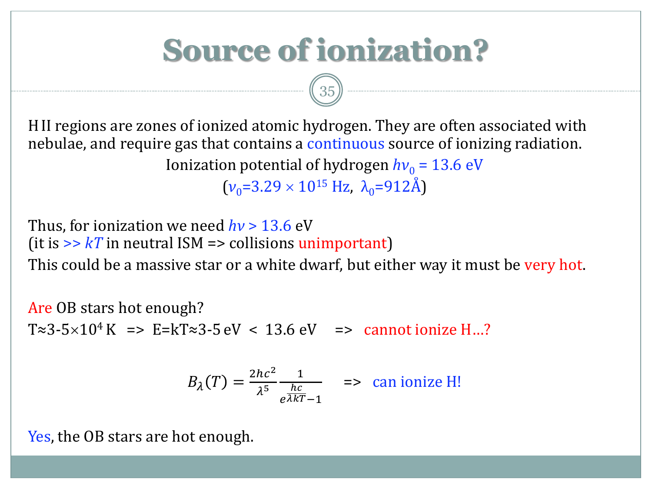

 $(35) -$ 

HII regions are zones of ionized atomic hydrogen. They are often associated with nebulae, and require gas that contains a continuous source of ionizing radiation. Ionization potential of hydrogen  $h\nu_0$  = 13.6 eV

 $(v_0=3.29\times 10^{15}$  Hz,  $\lambda_0=912\text{\AA})$ 

Thus, for ionization we need *hν* > 13.6 eV (it is  $\gg kT$  in neutral ISM  $\Rightarrow$  collisions unimportant)

This could be a massive star or a white dwarf, but either way it must be very hot.

Are OB stars hot enough? T≈3-5×10<sup>4</sup>K => E=kT≈3-5 eV < 13.6 eV => cannot ionize H...?

$$
B_{\lambda}(T) = \frac{2hc^2}{\lambda^5} \frac{1}{e^{\frac{hc}{\lambda kT} - 1}} \quad \Rightarrow \quad \text{can ionize H!}
$$

Yes, the OB stars are hot enough.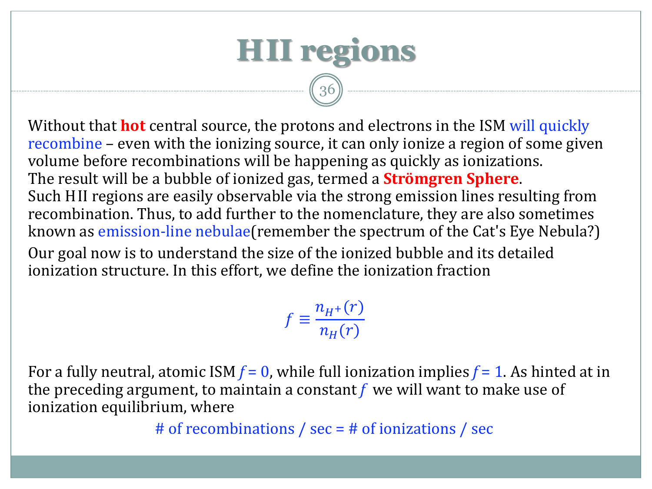

Without that **hot** central source, the protons and electrons in the ISM will quickly recombine – even with the ionizing source, it can only ionize a region of some given volume before recombinations will be happening as quickly as ionizations. The result will be a bubble of ionized gas, termed a **Strömgren Sphere**. Such HII regions are easily observable via the strong emission lines resulting from recombination. Thus, to add further to the nomenclature, they are also sometimes known as emission-line nebulae(remember the spectrum of the Cat's Eye Nebula?) Our goal now is to understand the size of the ionized bubble and its detailed ionization structure. In this effort, we define the ionization fraction

> $f \equiv$  $n_{H^+}(r)$  $n_H(r)$

For a fully neutral, atomic ISM  $f = 0$ , while full ionization implies  $f = 1$ . As hinted at in the preceding argument, to maintain a constant *f* we will want to make use of ionization equilibrium, where

# of recombinations / sec = # of ionizations / sec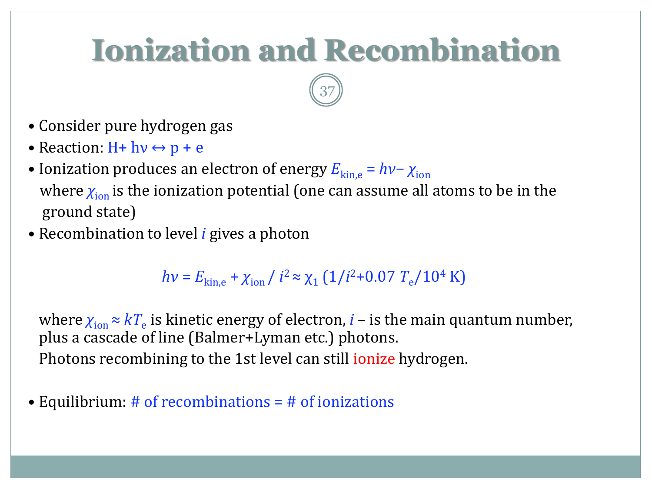## **Ionization and Recombination**

 $-37$ 

- Consider pure hydrogen gas
- Reaction:  $H + hv \leftrightarrow p + e$
- Ionization produces an electron of energy  $E_{\text{kin,e}} = h\nu-\chi_{\text{ion}}$ where  $\chi_{\text{ion}}$  is the ionization potential (one can assume all atoms to be in the ground state)
- Recombination to level *i* gives a photon

 $h$ *ν* =  $E_{\text{kin,e}}$  +  $\chi_{\text{ion}}$  /  $i^2 \approx \chi_1 (1/i^2 + 0.07 T_e/10^4 \text{ K})$ 

where  $\chi_{\text{ion}} \approx kT_{\text{e}}$  is kinetic energy of electron, *i* – is the main quantum number, plus a cascade of line (Balmer+Lyman etc.) photons. Photons recombining to the 1st level can still ionize hydrogen.

• Equilibrium: # of recombinations = # of ionizations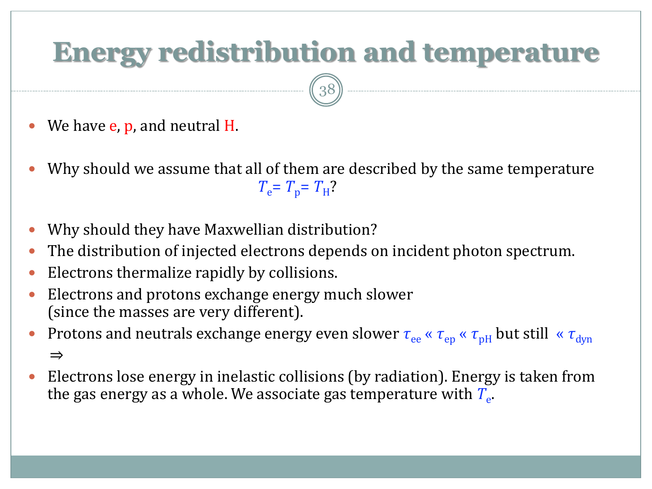#### **Energy redistribution and temperature**

38

- We have **e**, **p**, and neutral **H**.
- Why should we assume that all of them are described by the same temperature  $T_e = T_p = T_H$ ?
- Why should they have Maxwellian distribution?
- The distribution of injected electrons depends on incident photon spectrum.
- Electrons thermalize rapidly by collisions.
- Electrons and protons exchange energy much slower (since the masses are very different).
- Protons and neutrals exchange energy even slower  $\tau_{ee} \ll \tau_{ep} \ll \tau_{pH}$  but still  $\ll \tau_{dyn}$ ⇒
- Electrons lose energy in inelastic collisions (by radiation). Energy is taken from the gas energy as a whole. We associate gas temperature with  $T_{\rm e}$ .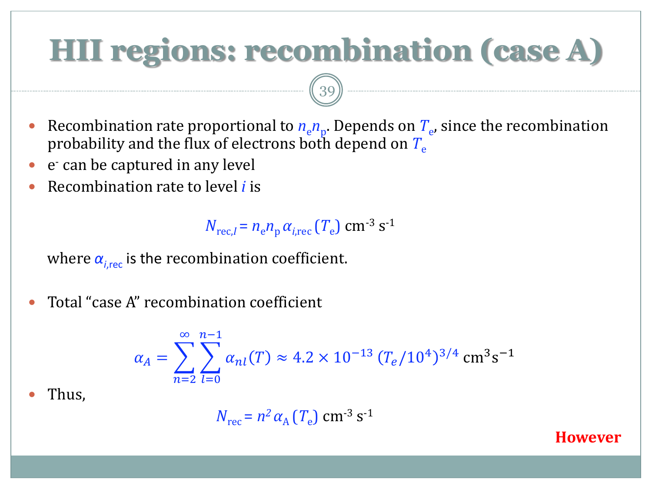## **HII regions: recombination (case A)**

- Recombination rate proportional to  $n_{e}n_{p}$ . Depends on  $T_{e}$ , since the recombination probability and the flux of electrons both depend on  $T_e$
- e can be captured in any level
- Recombination rate to level *i* is

 $N_{\text{rec},I}$  =  $n_{\text{e}}n_{\text{p}}\alpha_{i,\text{rec}}(T_{\text{e}})$  cm<sup>-3</sup> s<sup>-1</sup>

39

where  $\alpha_{i,\text{rec}}$  is the recombination coefficient.

Total "case A" recombination coefficient

$$
\alpha_A = \sum_{n=2}^{\infty} \sum_{l=0}^{n-1} \alpha_{nl}(T) \approx 4.2 \times 10^{-13} (T_e/10^4)^{3/4} \text{ cm}^3 \text{s}^{-1}
$$

Thus,

$$
N_{\text{rec}} = n^2 \alpha_{\text{A}} (T_{\text{e}}) \text{ cm}^{-3} \text{ s}^{-1}
$$

#### **However**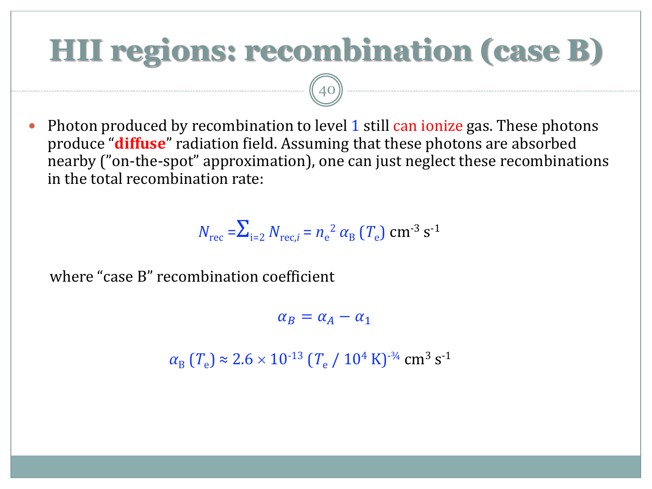## **HII regions: recombination (case B)**

40

 Photon produced by recombination to level 1 still can ionize gas. These photons produce "**diffuse**" radiation field. Assuming that these photons are absorbed nearby ("on-the-spot" approximation), one can just neglect these recombinations in the total recombination rate:

$$
N_{\text{rec}} = \sum_{i=2} N_{\text{rec},i} = n_{\text{e}}^2 \alpha_{\text{B}} (T_{\text{e}}) \text{ cm}^{-3} \text{ s}^{-1}
$$

where "case B" recombination coefficient

 $\alpha_B = \alpha_A - \alpha_1$ 

 $\alpha_{\rm B}$  (*T*<sub>e</sub>)  $\approx 2.6 \times 10^{13}$  (*T*<sub>e</sub> /  $10^4$  K)<sup>-3⁄4</sup> cm<sup>3</sup> s<sup>-1</sup>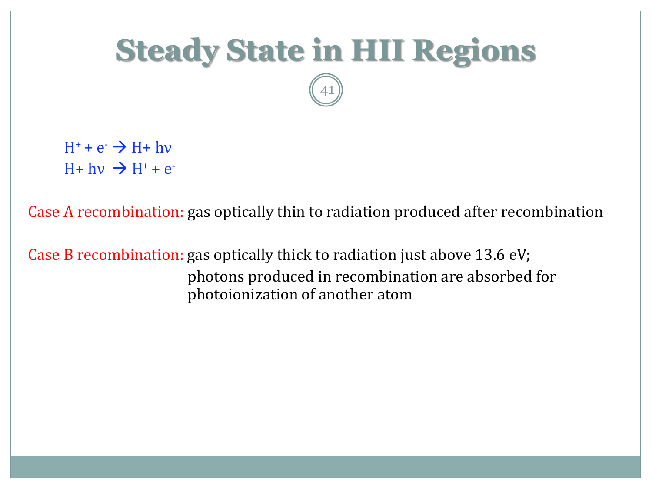## **Steady State in HII Regions**

41

 $H^+ + e^- \rightarrow H + hw$  $H + hv \rightarrow H^+ + e^-$ 

Case A recombination: gas optically thin to radiation produced after recombination

Case B recombination: gas optically thick to radiation just above 13.6 eV; photons produced in recombination are absorbed for photoionization of another atom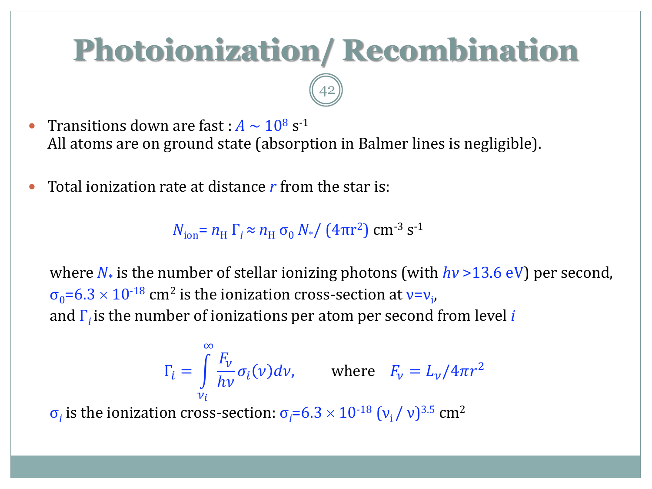#### **Photoionization/ Recombination**

42

- Transitions down are fast :  $A \sim 10^8$  s<sup>-1</sup> All atoms are on ground state (absorption in Balmer lines is negligible).
- Total ionization rate at distance *r* from the star is:

 $N_{\text{ion}}$ =  $n_{\text{H}}$  Γ<sub>*i*</sub> ≈  $n_{\text{H}}$  σ<sub>0</sub>  $N_{*}$ / (4πr<sup>2</sup>) cm<sup>-3</sup> s<sup>-1</sup>

where  $N_*$  is the number of stellar ionizing photons (with  $h\nu$  >13.6 eV) per second,  $\sigma_{0}$ =6.3 × 10<sup>-18</sup> cm<sup>2</sup> is the ionization cross-section at v=v<sub>i</sub>, and Γ*<sup>i</sup>* is the number of ionizations per atom per second from level *i*

$$
\Gamma_i = \int_{\nu_i}^{\infty} \frac{F_{\nu}}{h\nu} \sigma_i(\nu) d\nu, \quad \text{where} \quad F_{\nu} = L_{\nu} / 4\pi r^2
$$

 $\sigma_i$  is the ionization cross-section:  $\sigma_i$ =6.3 × 10<sup>-18</sup> (ν<sub>i</sub> / ν)<sup>3.5</sup> cm<sup>2</sup>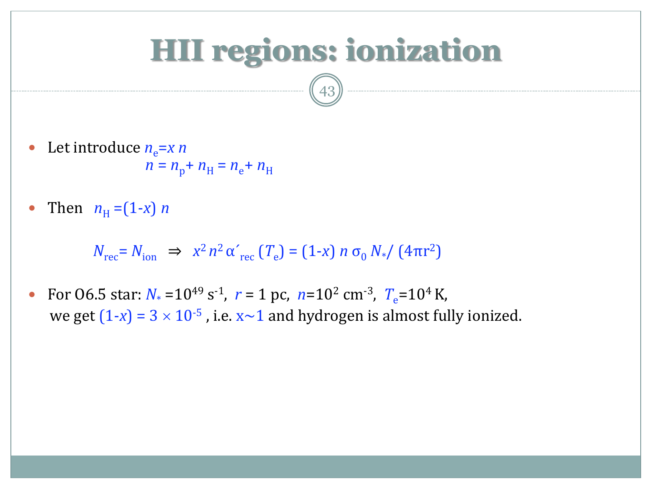#### **HII regions: ionization**

43

- Let introduce  $n_e = x n$  $n = n_p + n_H = n_e + n_H$
- Then  $n_{\rm H} = (1-x) n$

$$
N_{\text{rec}} = N_{\text{ion}} \implies x^2 n^2 \alpha'_{\text{rec}} (T_e) = (1-x) n \sigma_0 N_*/ (4\pi r^2)
$$

• For 06.5 star:  $N_* = 10^{49}$  s<sup>-1</sup>,  $r = 1$  pc,  $n = 10^2$  cm<sup>-3</sup>,  $T_e = 10^4$  K, we get  $(1-x) = 3 \times 10^{-5}$ , i.e.  $x \sim 1$  and hydrogen is almost fully ionized.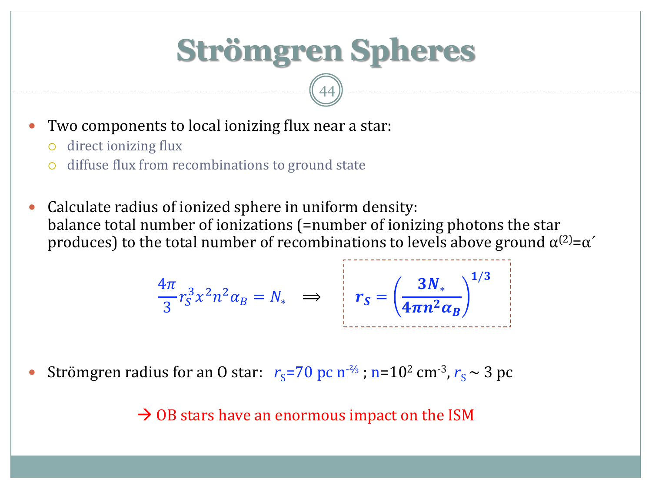## **Strömgren Spheres**

44

- Two components to local ionizing flux near a star:
	- o direct ionizing flux
	- o diffuse flux from recombinations to ground state
- Calculate radius of ionized sphere in uniform density: balance total number of ionizations (=number of ionizing photons the star produces) to the total number of recombinations to levels above ground  $\alpha^{(2)} = \alpha'$

$$
\frac{4\pi}{3}r_S^3 x^2 n^2 \alpha_B = N_* \quad \Longrightarrow \quad r_S = \left(\frac{3N_*}{4\pi n^2 \alpha_B}\right)^{1/3}
$$

• Strömgren radius for an O star:  $r_s$ =70 pc n<sup>-2<sub>3</sub></sup>; n=10<sup>2</sup> cm<sup>-3</sup>,  $r_s$  ~ 3 pc

 $\rightarrow$  OB stars have an enormous impact on the ISM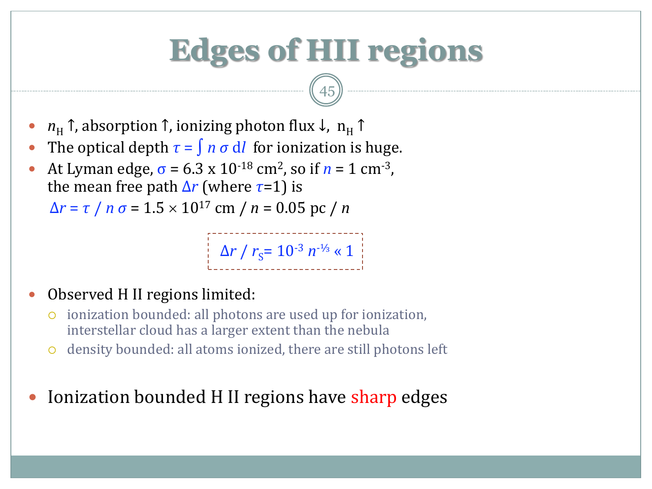## **Edges of HII regions**

45

- $n_H$  ↑, absorption ↑, ionizing photon flux ↓, n<sub>H</sub> ↑
- The optical depth  $\tau = \int n \sigma \, dl$  for ionization is huge.
- At Lyman edge,  $\sigma = 6.3 \times 10^{-18} \text{ cm}^2$ , so if  $n = 1 \text{ cm}^{-3}$ , the mean free path  $\Delta r$  (where  $\tau$ =1) is  $Δr = τ / n σ = 1.5 × 10<sup>17</sup> cm / n = 0.05 pc / n$

 $\Delta r / r_{\rm s}$ = 10<sup>-3</sup> *n*<sup>-1⁄3</sup> « 1

- Observed H II regions limited:
	- ionization bounded: all photons are used up for ionization, interstellar cloud has a larger extent than the nebula
	- density bounded: all atoms ionized, there are still photons left
- Ionization bounded H II regions have sharp edges